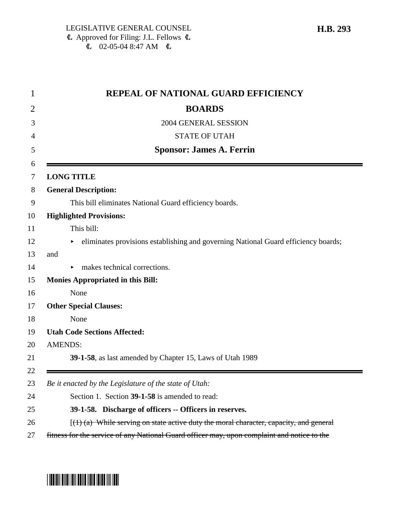| $\mathbf 1$ | <b>REPEAL OF NATIONAL GUARD EFFICIENCY</b>                                                  |
|-------------|---------------------------------------------------------------------------------------------|
| 2           | <b>BOARDS</b>                                                                               |
| 3           | 2004 GENERAL SESSION                                                                        |
| 4           | <b>STATE OF UTAH</b>                                                                        |
| 5           | <b>Sponsor: James A. Ferrin</b>                                                             |
| 6<br>7      | <b>LONG TITLE</b>                                                                           |
| 8           | <b>General Description:</b>                                                                 |
| 9           | This bill eliminates National Guard efficiency boards.                                      |
| 10          | <b>Highlighted Provisions:</b>                                                              |
| 11          | This bill:                                                                                  |
| 12          | eliminates provisions establishing and governing National Guard efficiency boards;          |
| 13          | and                                                                                         |
| 14          | makes technical corrections.                                                                |
| 15          | <b>Monies Appropriated in this Bill:</b>                                                    |
| 16          | None                                                                                        |
| 17          | <b>Other Special Clauses:</b>                                                               |
| 18          | None                                                                                        |
| 19          | <b>Utah Code Sections Affected:</b>                                                         |
| 20          | <b>AMENDS:</b>                                                                              |
| 21          | 39-1-58, as last amended by Chapter 15, Laws of Utah 1989                                   |
| 22          |                                                                                             |
| 23          | Be it enacted by the Legislature of the state of Utah:                                      |
| 24          | Section 1. Section 39-1-58 is amended to read:                                              |
| 25          | 39-1-58. Discharge of officers -- Officers in reserves.                                     |
| 26          | $[(1)$ (a) While serving on state active duty the moral character, capacity, and general    |
| 27          | fitness for the service of any National Guard officer may, upon complaint and notice to the |

## **H.B. 293**

# \*HB0293\*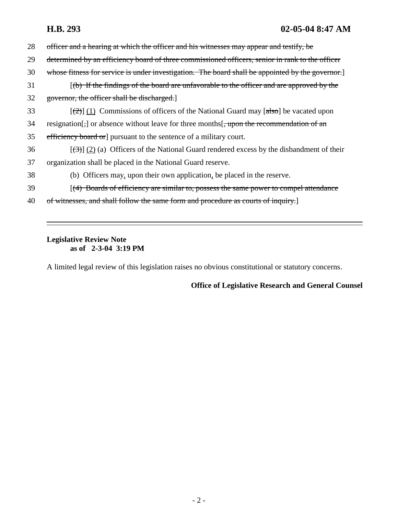# **H.B. 293 02-05-04 8:47 AM**

| 28 | officer and a hearing at which the officer and his witnesses may appear and testify, be                                     |
|----|-----------------------------------------------------------------------------------------------------------------------------|
| 29 | determined by an efficiency board of three commissioned officers, senior in rank to the officer                             |
| 30 | whose fitness for service is under investigation. The board shall be appointed by the governor.                             |
| 31 | $(\phi)$ If the findings of the board are unfavorable to the officer and are approved by the                                |
| 32 | governor, the officer shall be discharged.                                                                                  |
| 33 | $\left[\frac{2}{2}\right]$ (1) Commissions of officers of the National Guard may $\left[\frac{1}{6}\right]$ be vacated upon |
| 34 | resignation $\lceil$ , or absence without leave for three months $\lceil$ , upon the recommendation of an                   |
| 35 | efficiency board or pursuant to the sentence of a military court.                                                           |
| 36 | $\left[\frac{1}{2}\right]$ (2) (a) Officers of the National Guard rendered excess by the disbandment of their               |
| 37 | organization shall be placed in the National Guard reserve.                                                                 |
| 38 | (b) Officers may, upon their own application, be placed in the reserve.                                                     |
| 39 | [(4) Boards of efficiency are similar to, possess the same power to compel attendance                                       |
| 40 | witnesses, and shall follow the same form and procedure as courts of inquiry.                                               |
|    |                                                                                                                             |

### **Legislative Review Note as of 2-3-04 3:19 PM**

A limited legal review of this legislation raises no obvious constitutional or statutory concerns.

# **Office of Legislative Research and General Counsel**